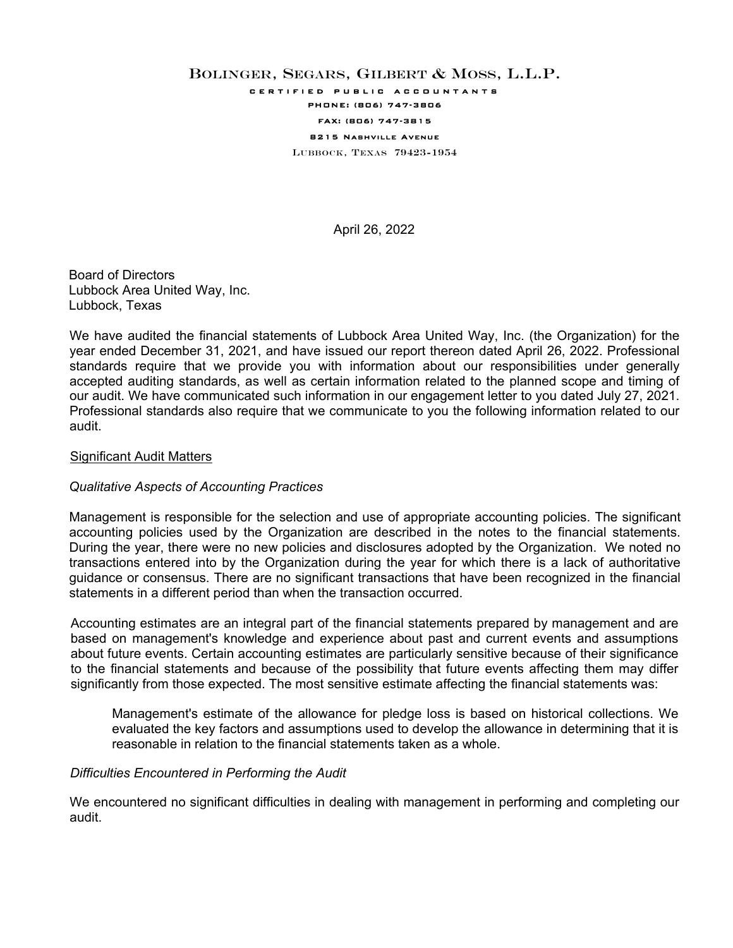# BOLINGER, SEGARS, GILBERT & MOSS, L.L.P. certified public accountants PHONE: (806) 747-3806 FAX: (806) 747-3815 8215 Nashville Avenue LUBBOCK, TEXAS 79423-1954

April 26, 2022

Board of Directors Lubbock Area United Way, Inc. Lubbock, Texas

We have audited the financial statements of Lubbock Area United Way, Inc. (the Organization) for the year ended December 31, 2021, and have issued our report thereon dated April 26, 2022. Professional standards require that we provide you with information about our responsibilities under generally accepted auditing standards, as well as certain information related to the planned scope and timing of our audit. We have communicated such information in our engagement letter to you dated July 27, 2021. Professional standards also require that we communicate to you the following information related to our audit.

### Significant Audit Matters

# *Qualitative Aspects of Accounting Practices*

Management is responsible for the selection and use of appropriate accounting policies. The significant accounting policies used by the Organization are described in the notes to the financial statements. During the year, there were no new policies and disclosures adopted by the Organization. We noted no transactions entered into by the Organization during the year for which there is a lack of authoritative guidance or consensus. There are no significant transactions that have been recognized in the financial statements in a different period than when the transaction occurred.

Accounting estimates are an integral part of the financial statements prepared by management and are based on management's knowledge and experience about past and current events and assumptions about future events. Certain accounting estimates are particularly sensitive because of their significance to the financial statements and because of the possibility that future events affecting them may differ significantly from those expected. The most sensitive estimate affecting the financial statements was:

Management's estimate of the allowance for pledge loss is based on historical collections. We evaluated the key factors and assumptions used to develop the allowance in determining that it is reasonable in relation to the financial statements taken as a whole.

### *Difficulties Encountered in Performing the Audit*

We encountered no significant difficulties in dealing with management in performing and completing our audit.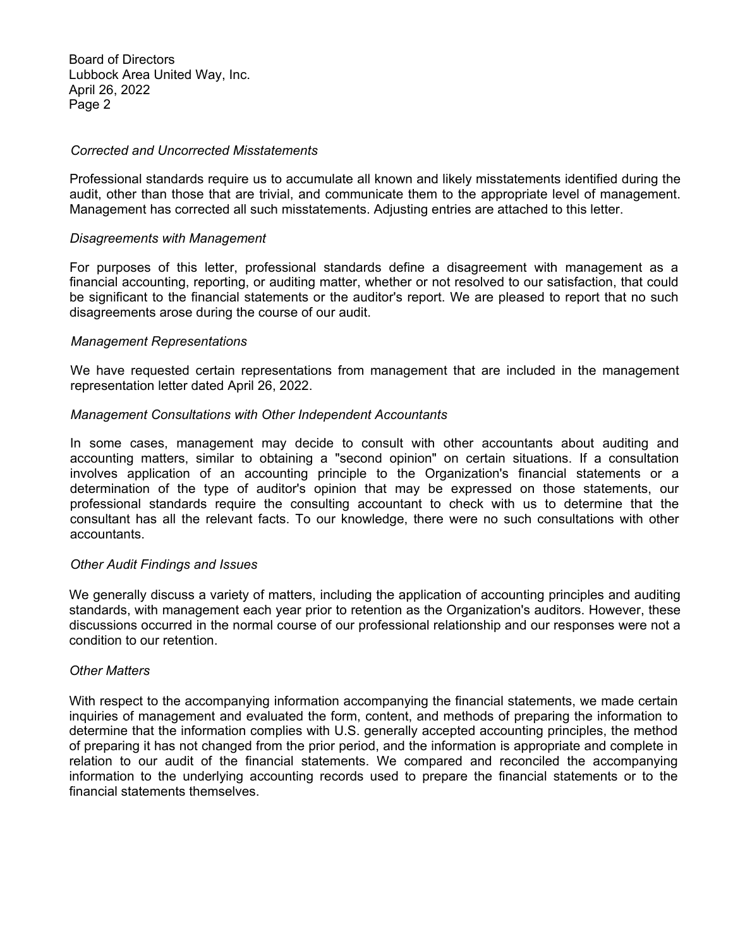Board of Directors Lubbock Area United Way, Inc. April 26, 2022 Page 2

### *Corrected and Uncorrected Misstatements*

Professional standards require us to accumulate all known and likely misstatements identified during the audit, other than those that are trivial, and communicate them to the appropriate level of management. Management has corrected all such misstatements. Adjusting entries are attached to this letter.

### *Disagreements with Management*

For purposes of this letter, professional standards define a disagreement with management as a financial accounting, reporting, or auditing matter, whether or not resolved to our satisfaction, that could be significant to the financial statements or the auditor's report. We are pleased to report that no such disagreements arose during the course of our audit.

### *Management Representations*

We have requested certain representations from management that are included in the management representation letter dated April 26, 2022.

# *Management Consultations with Other Independent Accountants*

In some cases, management may decide to consult with other accountants about auditing and accounting matters, similar to obtaining a "second opinion" on certain situations. If a consultation involves application of an accounting principle to the Organization's financial statements or a determination of the type of auditor's opinion that may be expressed on those statements, our professional standards require the consulting accountant to check with us to determine that the consultant has all the relevant facts. To our knowledge, there were no such consultations with other accountants.

#### *Other Audit Findings and Issues*

We generally discuss a variety of matters, including the application of accounting principles and auditing standards, with management each year prior to retention as the Organization's auditors. However, these discussions occurred in the normal course of our professional relationship and our responses were not a condition to our retention.

### *Other Matters*

With respect to the accompanying information accompanying the financial statements, we made certain inquiries of management and evaluated the form, content, and methods of preparing the information to determine that the information complies with U.S. generally accepted accounting principles, the method of preparing it has not changed from the prior period, and the information is appropriate and complete in relation to our audit of the financial statements. We compared and reconciled the accompanying information to the underlying accounting records used to prepare the financial statements or to the financial statements themselves.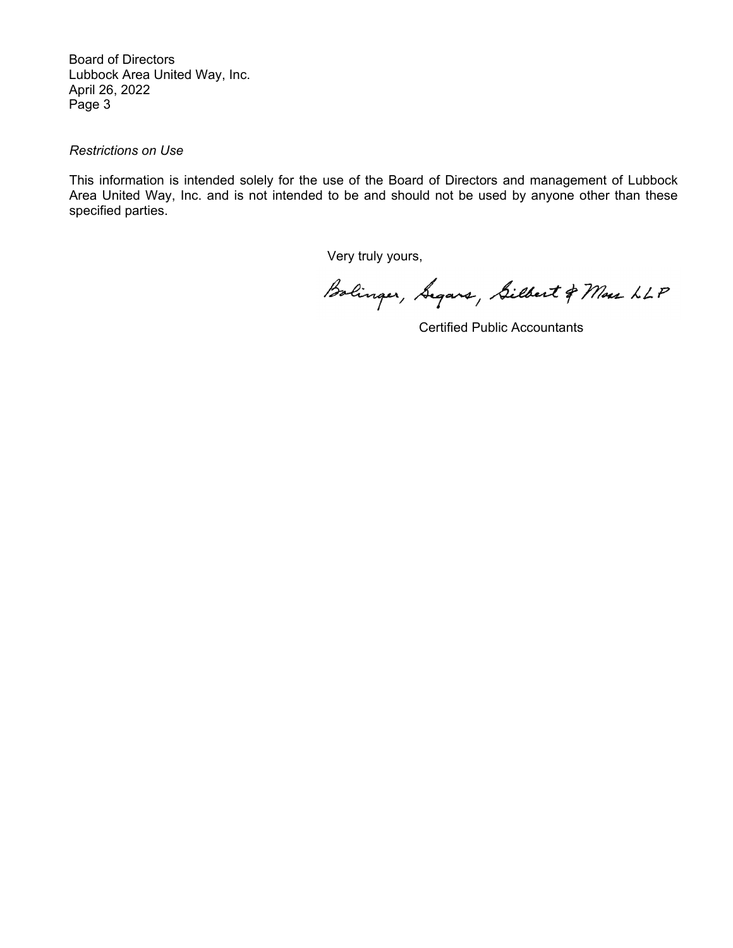Board of Directors Lubbock Area United Way, Inc. April 26, 2022 Page 3

# *Restrictions on Use*

This information is intended solely for the use of the Board of Directors and management of Lubbock Area United Way, Inc. and is not intended to be and should not be used by anyone other than these specified parties.

Very truly yours,

Bolinger, Segars, Silbert & Mass LLP

Certified Public Accountants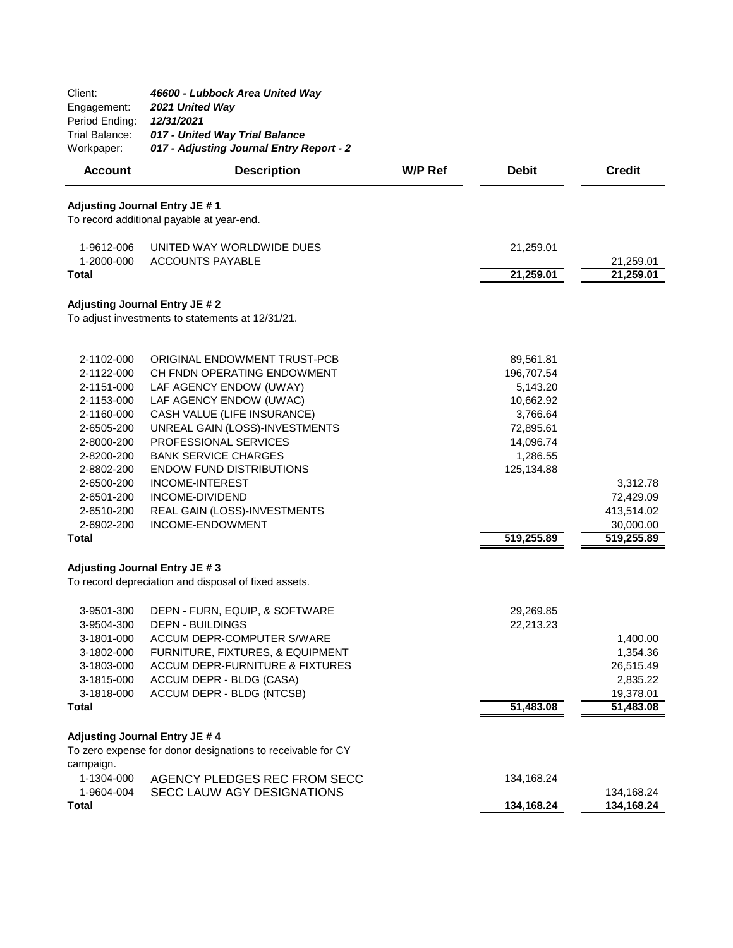| Client:<br>Engagement:<br>Period Ending:<br>Trial Balance:<br>Workpaper:                                     | 46600 - Lubbock Area United Way<br>2021 United Way<br>12/31/2021<br>017 - United Way Trial Balance<br>017 - Adjusting Journal Entry Report - 2                                                                                             |         |                                                                                                    |                                                                |
|--------------------------------------------------------------------------------------------------------------|--------------------------------------------------------------------------------------------------------------------------------------------------------------------------------------------------------------------------------------------|---------|----------------------------------------------------------------------------------------------------|----------------------------------------------------------------|
| <b>Account</b>                                                                                               | <b>Description</b>                                                                                                                                                                                                                         | W/P Ref | <b>Debit</b>                                                                                       | <b>Credit</b>                                                  |
|                                                                                                              | Adjusting Journal Entry JE #1<br>To record additional payable at year-end.                                                                                                                                                                 |         |                                                                                                    |                                                                |
| 1-9612-006<br>1-2000-000<br>Total                                                                            | UNITED WAY WORLDWIDE DUES<br><b>ACCOUNTS PAYABLE</b>                                                                                                                                                                                       |         | 21,259.01<br>21,259.01                                                                             | 21,259.01<br>21,259.01                                         |
|                                                                                                              | Adjusting Journal Entry JE # 2<br>To adjust investments to statements at 12/31/21.                                                                                                                                                         |         |                                                                                                    |                                                                |
| 2-1102-000<br>2-1122-000<br>2-1151-000<br>2-1153-000<br>2-1160-000<br>2-6505-200<br>2-8000-200<br>2-8200-200 | ORIGINAL ENDOWMENT TRUST-PCB<br>CH FNDN OPERATING ENDOWMENT<br>LAF AGENCY ENDOW (UWAY)<br>LAF AGENCY ENDOW (UWAC)<br>CASH VALUE (LIFE INSURANCE)<br>UNREAL GAIN (LOSS)-INVESTMENTS<br>PROFESSIONAL SERVICES<br><b>BANK SERVICE CHARGES</b> |         | 89,561.81<br>196,707.54<br>5,143.20<br>10,662.92<br>3,766.64<br>72,895.61<br>14,096.74<br>1,286.55 |                                                                |
| 2-8802-200<br>2-6500-200<br>2-6501-200<br>2-6510-200<br>2-6902-200<br><b>Total</b>                           | <b>ENDOW FUND DISTRIBUTIONS</b><br><b>INCOME-INTEREST</b><br>INCOME-DIVIDEND<br>REAL GAIN (LOSS)-INVESTMENTS<br>INCOME-ENDOWMENT                                                                                                           |         | 125,134.88<br>519,255.89                                                                           | 3,312.78<br>72,429.09<br>413,514.02<br>30,000.00<br>519,255.89 |
|                                                                                                              | Adjusting Journal Entry JE #3                                                                                                                                                                                                              |         |                                                                                                    |                                                                |
|                                                                                                              | To record depreciation and disposal of fixed assets.                                                                                                                                                                                       |         |                                                                                                    |                                                                |
| 3-9501-300<br>3-9504-300<br>3-1801-000<br>3-1802-000<br>3-1803-000<br>3-1815-000<br>3-1818-000               | DEPN - FURN, EQUIP, & SOFTWARE<br><b>DEPN - BUILDINGS</b><br>ACCUM DEPR-COMPUTER S/WARE<br>FURNITURE, FIXTURES, & EQUIPMENT<br><b>ACCUM DEPR-FURNITURE &amp; FIXTURES</b><br>ACCUM DEPR - BLDG (CASA)<br>ACCUM DEPR - BLDG (NTCSB)         |         | 29,269.85<br>22,213.23                                                                             | 1,400.00<br>1,354.36<br>26,515.49<br>2,835.22<br>19,378.01     |
| <b>Total</b>                                                                                                 |                                                                                                                                                                                                                                            |         | 51,483.08                                                                                          | 51,483.08                                                      |
|                                                                                                              | Adjusting Journal Entry JE # 4                                                                                                                                                                                                             |         |                                                                                                    |                                                                |
| campaign.                                                                                                    | To zero expense for donor designations to receivable for CY                                                                                                                                                                                |         |                                                                                                    |                                                                |
| 1-1304-000<br>1-9604-004<br><b>Total</b>                                                                     | AGENCY PLEDGES REC FROM SECC<br>SECC LAUW AGY DESIGNATIONS                                                                                                                                                                                 |         | 134,168.24<br>134,168.24                                                                           | 134,168.24<br>134,168.24                                       |